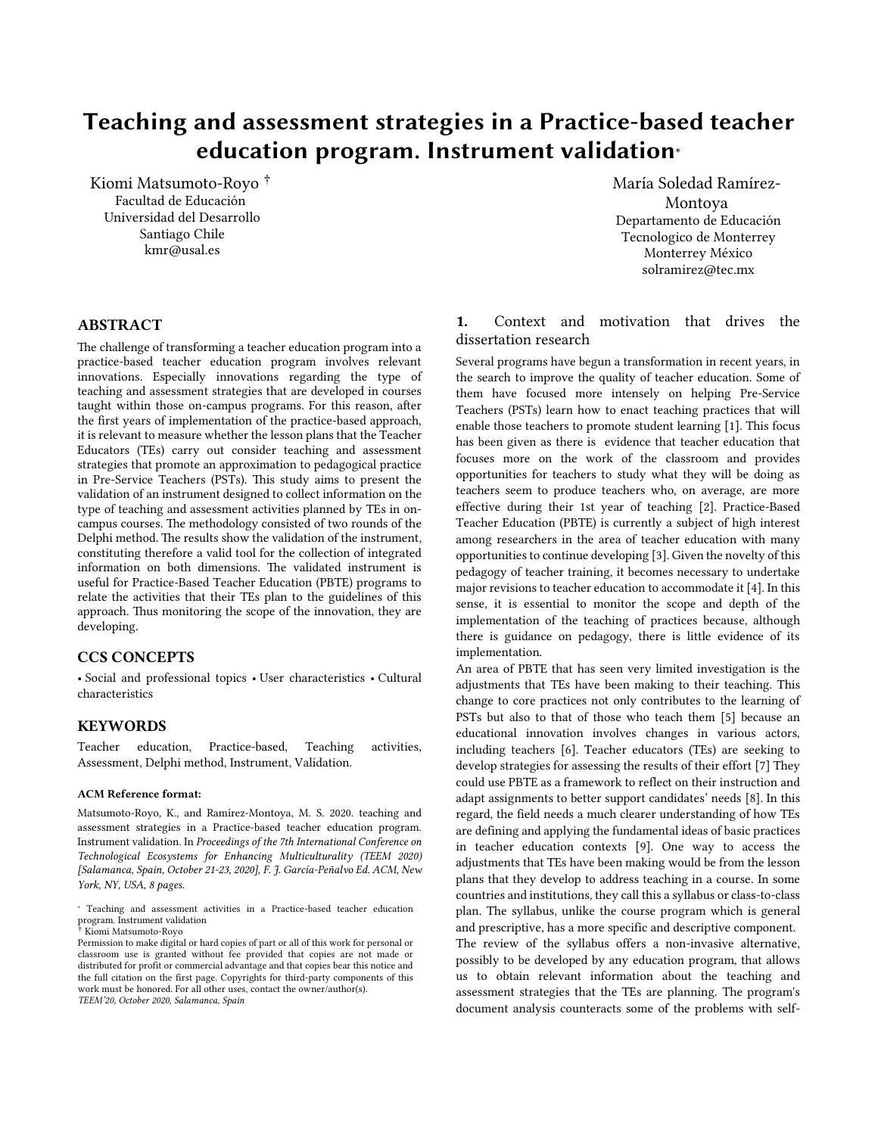# Teaching and assessment strategies in a Practice-based teacher education program. Instrument validation<sup>∗</sup>

Kiomi Matsumoto-Royo † Facultad de Educación Universidad del Desarrollo Santiago Chile kmr@usal.es

### ABSTRACT

The challenge of transforming a teacher education program into a practice-based teacher education program involves relevant innovations. Especially innovations regarding the type of teaching and assessment strategies that are developed in courses taught within those on-campus programs. For this reason, after the first years of implementation of the practice-based approach, it is relevant to measure whether the lesson plans that the Teacher Educators (TEs) carry out consider teaching and assessment strategies that promote an approximation to pedagogical practice in Pre-Service Teachers (PSTs). This study aims to present the validation of an instrument designed to collect information on the type of teaching and assessment activities planned by TEs in oncampus courses. The methodology consisted of two rounds of the Delphi method. The results show the validation of the instrument, constituting therefore a valid tool for the collection of integrated information on both dimensions. The validated instrument is useful for Practice-Based Teacher Education (PBTE) programs to relate the activities that their TEs plan to the guidelines of this approach. Thus monitoring the scope of the innovation, they are developing.

## CCS CONCEPTS

• Social and professional topics • User characteristics • Cultural characteristics

#### **KEYWORDS**

Teacher education, Practice-based, Teaching activities, Assessment, Delphi method, Instrument, Validation.

#### ACM Reference format:

Matsumoto-Royo, K., and Ramírez-Montoya, M. S. 2020. teaching and assessment strategies in a Practice-based teacher education program. Instrument validation. In *Proceedings of the 7th International Conference on Technological Ecosystems for Enhancing Multiculturality (TEEM 2020) [Salamanca, Spain, October 21-23, 2020], F. J. García-Peñalvo Ed. ACM, New York, NY, USA, 8 pages.* 

María Soledad Ramírez-Montoya Departamento de Educación Tecnologico de Monterrey Monterrey México solramirez@tec.mx

## 1. Context and motivation that drives the dissertation research

Several programs have begun a transformation in recent years, in the search to improve the quality of teacher education. Some of them have focused more intensely on helping Pre-Service Teachers (PSTs) learn how to enact teaching practices that will enable those teachers to promote student learning [1]. This focus has been given as there is evidence that teacher education that focuses more on the work of the classroom and provides opportunities for teachers to study what they will be doing as teachers seem to produce teachers who, on average, are more effective during their 1st year of teaching [2]. Practice-Based Teacher Education (PBTE) is currently a subject of high interest among researchers in the area of teacher education with many opportunities to continue developing [3]. Given the novelty of this pedagogy of teacher training, it becomes necessary to undertake major revisions to teacher education to accommodate it [4]. In this sense, it is essential to monitor the scope and depth of the implementation of the teaching of practices because, although there is guidance on pedagogy, there is little evidence of its implementation.

An area of PBTE that has seen very limited investigation is the adjustments that TEs have been making to their teaching. This change to core practices not only contributes to the learning of PSTs but also to that of those who teach them [5] because an educational innovation involves changes in various actors, including teachers [6]. Teacher educators (TEs) are seeking to develop strategies for assessing the results of their effort [7] They could use PBTE as a framework to reflect on their instruction and adapt assignments to better support candidates' needs [8]. In this regard, the field needs a much clearer understanding of how TEs are defining and applying the fundamental ideas of basic practices in teacher education contexts [9]. One way to access the adjustments that TEs have been making would be from the lesson plans that they develop to address teaching in a course. In some countries and institutions, they call this a syllabus or class-to-class plan. The syllabus, unlike the course program which is general and prescriptive, has a more specific and descriptive component. The review of the syllabus offers a non-invasive alternative, possibly to be developed by any education program, that allows us to obtain relevant information about the teaching and assessment strategies that the TEs are planning. The program's

document analysis counteracts some of the problems with self-

<sup>∗</sup> Teaching and assessment activities in a Practice-based teacher education program. Instrument validation

<sup>†</sup> Kiomi Matsumoto-Royo

Permission to make digital or hard copies of part or all of this work for personal or classroom use is granted without fee provided that copies are not made or distributed for profit or commercial advantage and that copies bear this notice and the full citation on the first page. Copyrights for third-party components of this work must be honored. For all other uses, contact the owner/author(s). *TEEM'20, October 2020, Salamanca, Spain*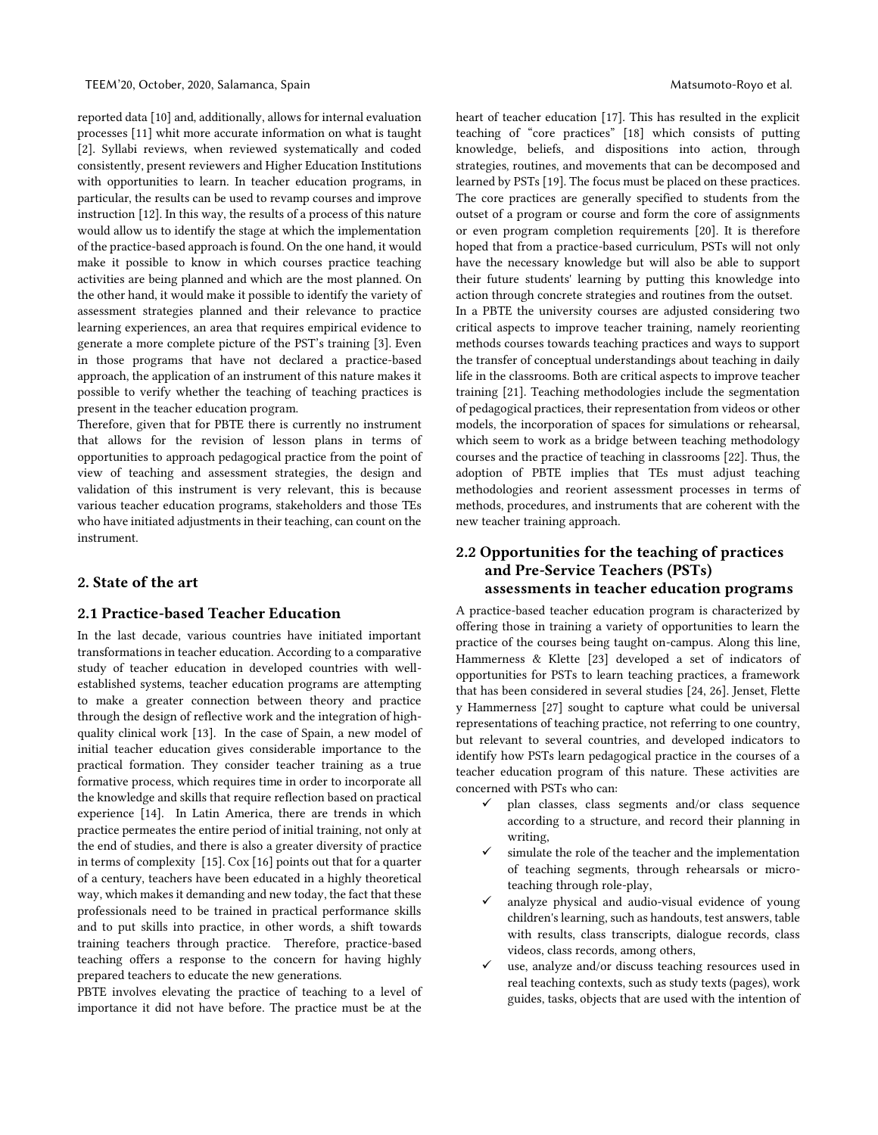reported data [10] and, additionally, allows for internal evaluation processes [11] whit more accurate information on what is taught [2]. Syllabi reviews, when reviewed systematically and coded consistently, present reviewers and Higher Education Institutions with opportunities to learn. In teacher education programs, in particular, the results can be used to revamp courses and improve instruction [12]. In this way, the results of a process of this nature would allow us to identify the stage at which the implementation of the practice-based approach is found. On the one hand, it would make it possible to know in which courses practice teaching activities are being planned and which are the most planned. On the other hand, it would make it possible to identify the variety of assessment strategies planned and their relevance to practice learning experiences, an area that requires empirical evidence to generate a more complete picture of the PST's training [3]. Even in those programs that have not declared a practice-based approach, the application of an instrument of this nature makes it possible to verify whether the teaching of teaching practices is present in the teacher education program.

Therefore, given that for PBTE there is currently no instrument that allows for the revision of lesson plans in terms of opportunities to approach pedagogical practice from the point of view of teaching and assessment strategies, the design and validation of this instrument is very relevant, this is because various teacher education programs, stakeholders and those TEs who have initiated adjustments in their teaching, can count on the instrument.

## 2. State of the art

## 2.1 Practice-based Teacher Education

In the last decade, various countries have initiated important transformations in teacher education. According to a comparative study of teacher education in developed countries with wellestablished systems, teacher education programs are attempting to make a greater connection between theory and practice through the design of reflective work and the integration of highquality clinical work [13]. In the case of Spain, a new model of initial teacher education gives considerable importance to the practical formation. They consider teacher training as a true formative process, which requires time in order to incorporate all the knowledge and skills that require reflection based on practical experience [14]. In Latin America, there are trends in which practice permeates the entire period of initial training, not only at the end of studies, and there is also a greater diversity of practice in terms of complexity [15]. Cox [16] points out that for a quarter of a century, teachers have been educated in a highly theoretical way, which makes it demanding and new today, the fact that these professionals need to be trained in practical performance skills and to put skills into practice, in other words, a shift towards training teachers through practice. Therefore, practice-based teaching offers a response to the concern for having highly prepared teachers to educate the new generations.

PBTE involves elevating the practice of teaching to a level of importance it did not have before. The practice must be at the

heart of teacher education [17]. This has resulted in the explicit teaching of "core practices" [18] which consists of putting knowledge, beliefs, and dispositions into action, through strategies, routines, and movements that can be decomposed and learned by PSTs [19]. The focus must be placed on these practices. The core practices are generally specified to students from the outset of a program or course and form the core of assignments or even program completion requirements [20]. It is therefore hoped that from a practice-based curriculum, PSTs will not only have the necessary knowledge but will also be able to support their future students' learning by putting this knowledge into action through concrete strategies and routines from the outset.

In a PBTE the university courses are adjusted considering two critical aspects to improve teacher training, namely reorienting methods courses towards teaching practices and ways to support the transfer of conceptual understandings about teaching in daily life in the classrooms. Both are critical aspects to improve teacher training [21]. Teaching methodologies include the segmentation of pedagogical practices, their representation from videos or other models, the incorporation of spaces for simulations or rehearsal, which seem to work as a bridge between teaching methodology courses and the practice of teaching in classrooms [22]. Thus, the adoption of PBTE implies that TEs must adjust teaching methodologies and reorient assessment processes in terms of methods, procedures, and instruments that are coherent with the new teacher training approach.

# 2.2 Opportunities for the teaching of practices and Pre-Service Teachers (PSTs) assessments in teacher education programs

A practice-based teacher education program is characterized by offering those in training a variety of opportunities to learn the practice of the courses being taught on-campus. Along this line, Hammerness & Klette [23] developed a set of indicators of opportunities for PSTs to learn teaching practices, a framework that has been considered in several studies [24, 26]. Jenset, Flette y Hammerness [27] sought to capture what could be universal representations of teaching practice, not referring to one country, but relevant to several countries, and developed indicators to identify how PSTs learn pedagogical practice in the courses of a teacher education program of this nature. These activities are concerned with PSTs who can:

- plan classes, class segments and/or class sequence according to a structure, and record their planning in writing,
- $\checkmark$  simulate the role of the teacher and the implementation of teaching segments, through rehearsals or microteaching through role-play,
- $\checkmark$  analyze physical and audio-visual evidence of young children's learning, such as handouts, test answers, table with results, class transcripts, dialogue records, class videos, class records, among others,
- use, analyze and/or discuss teaching resources used in real teaching contexts, such as study texts (pages), work guides, tasks, objects that are used with the intention of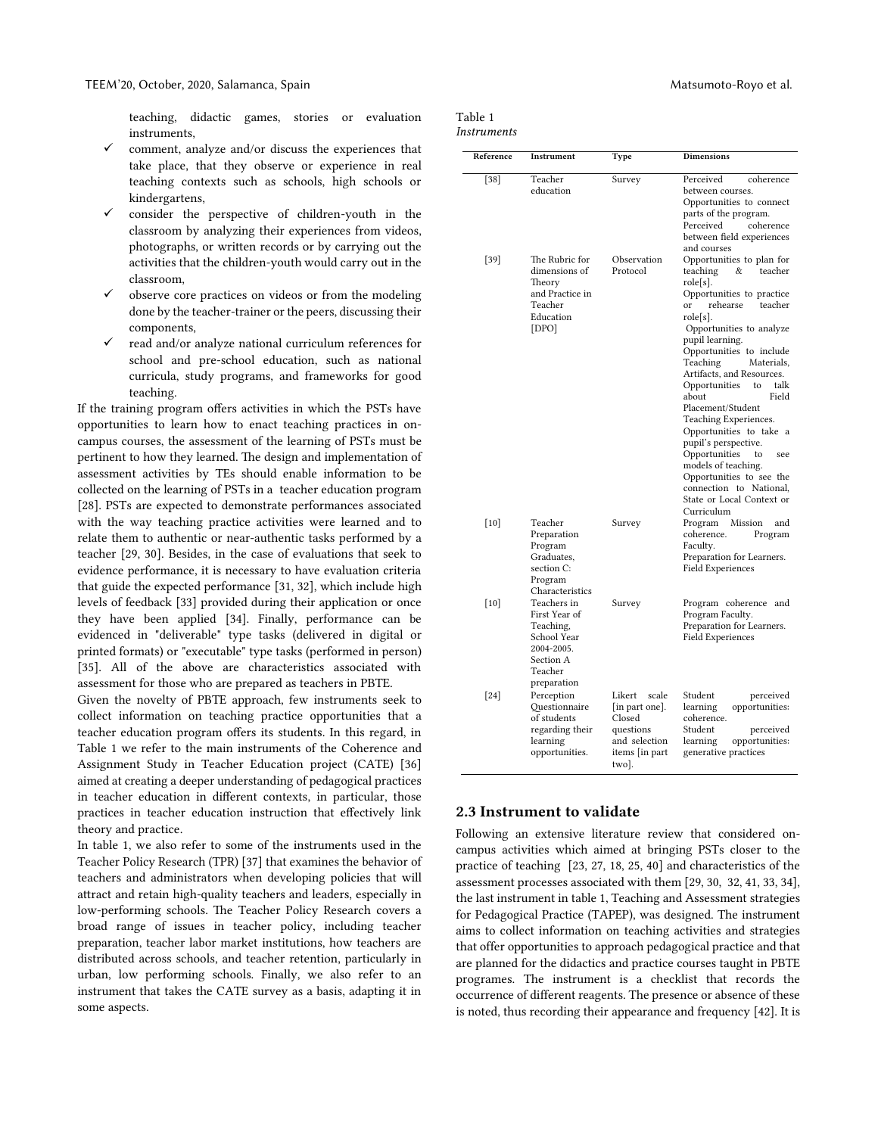teaching, didactic games, stories or evaluation instruments,

- comment, analyze and/or discuss the experiences that take place, that they observe or experience in real teaching contexts such as schools, high schools or kindergartens,
- consider the perspective of children-youth in the classroom by analyzing their experiences from videos, photographs, or written records or by carrying out the activities that the children-youth would carry out in the classroom,
- observe core practices on videos or from the modeling done by the teacher-trainer or the peers, discussing their components,
- read and/or analyze national curriculum references for school and pre-school education, such as national curricula, study programs, and frameworks for good teaching.

If the training program offers activities in which the PSTs have opportunities to learn how to enact teaching practices in oncampus courses, the assessment of the learning of PSTs must be pertinent to how they learned. The design and implementation of assessment activities by TEs should enable information to be collected on the learning of PSTs in a teacher education program [28]. PSTs are expected to demonstrate performances associated with the way teaching practice activities were learned and to relate them to authentic or near-authentic tasks performed by a teacher [29, 30]. Besides, in the case of evaluations that seek to evidence performance, it is necessary to have evaluation criteria that guide the expected performance [31, 32], which include high levels of feedback [33] provided during their application or once they have been applied [34]. Finally, performance can be evidenced in "deliverable" type tasks (delivered in digital or printed formats) or "executable" type tasks (performed in person) [35]. All of the above are characteristics associated with assessment for those who are prepared as teachers in PBTE.

Given the novelty of PBTE approach, few instruments seek to collect information on teaching practice opportunities that a teacher education program offers its students. In this regard, in Table 1 we refer to the main instruments of the Coherence and Assignment Study in Teacher Education project (CATE) [36] aimed at creating a deeper understanding of pedagogical practices in teacher education in different contexts, in particular, those practices in teacher education instruction that effectively link theory and practice.

In table 1, we also refer to some of the instruments used in the Teacher Policy Research (TPR) [37] that examines the behavior of teachers and administrators when developing policies that will attract and retain high-quality teachers and leaders, especially in low-performing schools. The Teacher Policy Research covers a broad range of issues in teacher policy, including teacher preparation, teacher labor market institutions, how teachers are distributed across schools, and teacher retention, particularly in urban, low performing schools. Finally, we also refer to an instrument that takes the CATE survey as a basis, adapting it in some aspects.

| Matsumoto-Royo et al. |  |  |  |  |
|-----------------------|--|--|--|--|
|-----------------------|--|--|--|--|

| Table 1 |  |
|---------|--|
|         |  |

| Reference | <b>Instrument</b>                                                                                             | Type                                                                                                 | <b>Dimensions</b>                                                                                                                                                                                                                                                                                                                                                                                                                                                                                                                                                                             |
|-----------|---------------------------------------------------------------------------------------------------------------|------------------------------------------------------------------------------------------------------|-----------------------------------------------------------------------------------------------------------------------------------------------------------------------------------------------------------------------------------------------------------------------------------------------------------------------------------------------------------------------------------------------------------------------------------------------------------------------------------------------------------------------------------------------------------------------------------------------|
|           |                                                                                                               |                                                                                                      |                                                                                                                                                                                                                                                                                                                                                                                                                                                                                                                                                                                               |
| $[38]$    | Teacher<br>education                                                                                          | Survey                                                                                               | Perceived<br>coherence<br>between courses.<br>Opportunities to connect<br>parts of the program.<br>Perceived<br>coherence<br>between field experiences<br>and courses                                                                                                                                                                                                                                                                                                                                                                                                                         |
| $[39]$    | The Rubric for<br>dimensions of<br>Theory<br>and Practice in<br>Teacher<br>Education<br>[DPO]                 | Observation<br>Protocol                                                                              | Opportunities to plan for<br>teaching<br>teacher<br>&<br>role[s].<br>Opportunities to practice<br>rehearse<br><sub>or</sub><br>teacher<br>role[s].<br>Opportunities to analyze<br>pupil learning.<br>Opportunities to include<br>Teaching<br>Materials,<br>Artifacts, and Resources.<br>Opportunities<br>to<br>talk<br>about<br>Field<br>Placement/Student<br>Teaching Experiences.<br>Opportunities to take a<br>pupil's perspective.<br>Opportunities<br>to<br>see<br>models of teaching.<br>Opportunities to see the<br>connection to National,<br>State or Local Context or<br>Curriculum |
| $[10]$    | Teacher<br>Preparation<br>Program<br>Graduates,<br>section C:<br>Program<br>Characteristics                   | Survey                                                                                               | Mission<br>Program<br>and<br>coherence.<br>Program<br>Faculty.<br>Preparation for Learners.<br><b>Field Experiences</b>                                                                                                                                                                                                                                                                                                                                                                                                                                                                       |
| [10]      | Teachers in<br>First Year of<br>Teaching,<br>School Year<br>2004-2005.<br>Section A<br>Teacher<br>preparation | Survey                                                                                               | Program coherence and<br>Program Faculty.<br>Preparation for Learners.<br><b>Field Experiences</b>                                                                                                                                                                                                                                                                                                                                                                                                                                                                                            |
| $[24]$    | Perception<br>Questionnaire<br>of students<br>regarding their<br>learning<br>opportunities.                   | Likert<br>scale<br>[in part one].<br>Closed<br>questions<br>and selection<br>items [in part<br>two]. | Student<br>perceived<br>opportunities:<br>learning<br>coherence.<br>Student<br>perceived<br>learning<br>opportunities:<br>generative practices                                                                                                                                                                                                                                                                                                                                                                                                                                                |

## 2.3 Instrument to validate

Following an extensive literature review that considered oncampus activities which aimed at bringing PSTs closer to the practice of teaching [23, 27, 18, 25, 40] and characteristics of the assessment processes associated with them [29, 30, 32, 41, 33, 34], the last instrument in table 1, Teaching and Assessment strategies for Pedagogical Practice (TAPEP), was designed. The instrument aims to collect information on teaching activities and strategies that offer opportunities to approach pedagogical practice and that are planned for the didactics and practice courses taught in PBTE programes. The instrument is a checklist that records the occurrence of different reagents. The presence or absence of these is noted, thus recording their appearance and frequency [42]. It is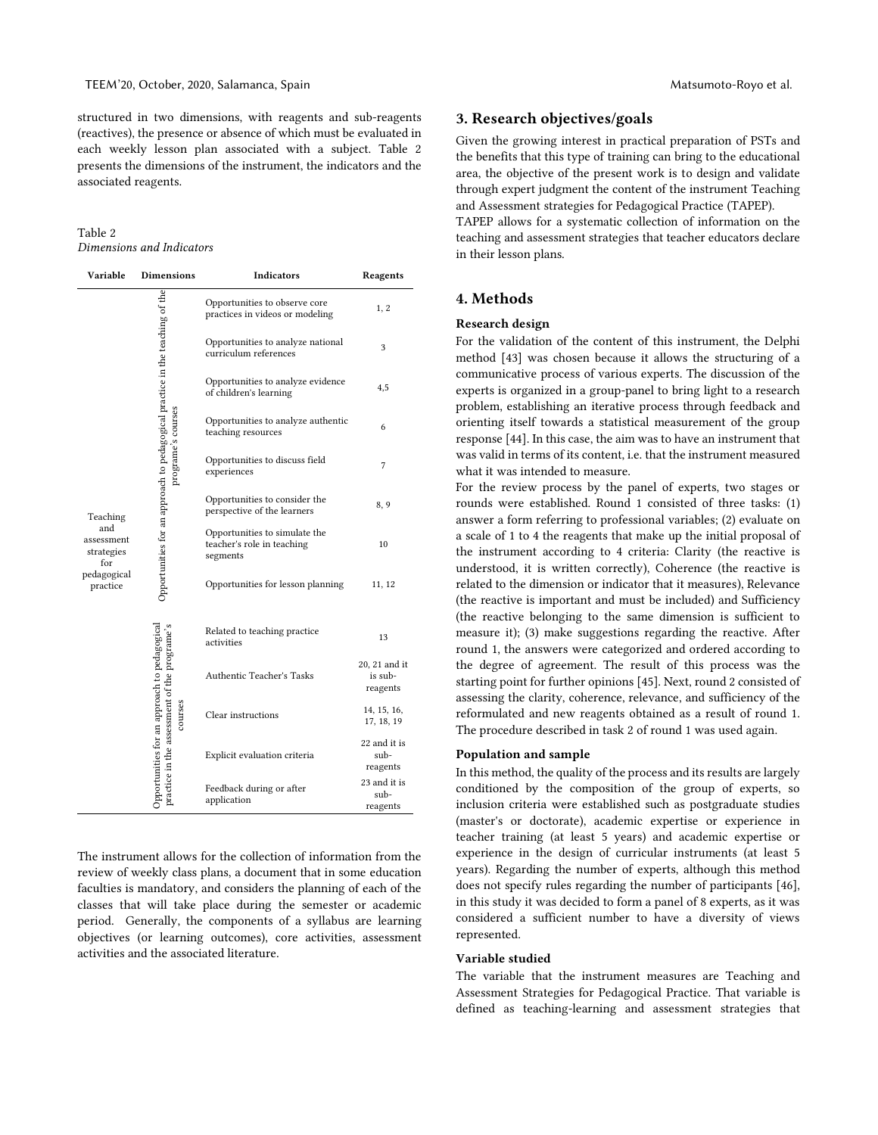structured in two dimensions, with reagents and sub-reagents (reactives), the presence or absence of which must be evaluated in each weekly lesson plan associated with a subject. Table 2 presents the dimensions of the instrument, the indicators and the associated reagents.

Table 2 *Dimensions and Indicators*

| Variable                                           | <b>Dimensions</b>                                                                            | Indicators                                                              | Reagents                                                                                                                                  |
|----------------------------------------------------|----------------------------------------------------------------------------------------------|-------------------------------------------------------------------------|-------------------------------------------------------------------------------------------------------------------------------------------|
|                                                    |                                                                                              | Opportunities to observe core<br>practices in videos or modeling        | 1, 2                                                                                                                                      |
|                                                    |                                                                                              | Opportunities to analyze national<br>curriculum references              | 3                                                                                                                                         |
|                                                    |                                                                                              | Opportunities to analyze evidence<br>of children's learning             | 4,5                                                                                                                                       |
| Teaching<br>and<br>assessment<br>strategies<br>for | programe's courses                                                                           | Opportunities to analyze authentic<br>teaching resources                | 6                                                                                                                                         |
|                                                    |                                                                                              | Opportunities to discuss field<br>experiences                           | 7                                                                                                                                         |
|                                                    | Opportunities for an approach to pedagogical practice in the teaching of the                 | Opportunities to consider the<br>perspective of the learners            | 8, 9                                                                                                                                      |
|                                                    |                                                                                              | Opportunities to simulate the<br>teacher's role in teaching<br>segments | 10                                                                                                                                        |
| pedagogical<br>practice                            |                                                                                              | Opportunities for lesson planning                                       | 11, 12                                                                                                                                    |
|                                                    |                                                                                              | Related to teaching practice<br>activities                              | 13                                                                                                                                        |
|                                                    | Opportunities for an approach to pedagogical<br>practice in the assessment of the programe's | <b>Authentic Teacher's Tasks</b>                                        | 20, 21 and it<br>is sub-<br>reagents<br>14, 15, 16,<br>17, 18, 19<br>22 and it is<br>sub-<br>reagents<br>23 and it is<br>sub-<br>reagents |
|                                                    | courses                                                                                      | Clear instructions                                                      |                                                                                                                                           |
|                                                    |                                                                                              | Explicit evaluation criteria                                            |                                                                                                                                           |
|                                                    |                                                                                              | Feedback during or after<br>application                                 |                                                                                                                                           |

The instrument allows for the collection of information from the review of weekly class plans, a document that in some education faculties is mandatory, and considers the planning of each of the classes that will take place during the semester or academic period. Generally, the components of a syllabus are learning objectives (or learning outcomes), core activities, assessment activities and the associated literature.

## 3. Research objectives/goals

Given the growing interest in practical preparation of PSTs and the benefits that this type of training can bring to the educational area, the objective of the present work is to design and validate through expert judgment the content of the instrument Teaching and Assessment strategies for Pedagogical Practice (TAPEP).

TAPEP allows for a systematic collection of information on the teaching and assessment strategies that teacher educators declare in their lesson plans.

## 4. Methods

#### Research design

For the validation of the content of this instrument, the Delphi method [43] was chosen because it allows the structuring of a communicative process of various experts. The discussion of the experts is organized in a group-panel to bring light to a research problem, establishing an iterative process through feedback and orienting itself towards a statistical measurement of the group response [44]. In this case, the aim was to have an instrument that was valid in terms of its content, i.e. that the instrument measured what it was intended to measure.

For the review process by the panel of experts, two stages or rounds were established. Round 1 consisted of three tasks: (1) answer a form referring to professional variables; (2) evaluate on a scale of 1 to 4 the reagents that make up the initial proposal of the instrument according to 4 criteria: Clarity (the reactive is understood, it is written correctly), Coherence (the reactive is related to the dimension or indicator that it measures), Relevance (the reactive is important and must be included) and Sufficiency (the reactive belonging to the same dimension is sufficient to measure it); (3) make suggestions regarding the reactive. After round 1, the answers were categorized and ordered according to the degree of agreement. The result of this process was the starting point for further opinions [45]. Next, round 2 consisted of assessing the clarity, coherence, relevance, and sufficiency of the reformulated and new reagents obtained as a result of round 1. The procedure described in task 2 of round 1 was used again.

#### Population and sample

In this method, the quality of the process and its results are largely conditioned by the composition of the group of experts, so inclusion criteria were established such as postgraduate studies (master's or doctorate), academic expertise or experience in teacher training (at least 5 years) and academic expertise or experience in the design of curricular instruments (at least 5 years). Regarding the number of experts, although this method does not specify rules regarding the number of participants [46], in this study it was decided to form a panel of 8 experts, as it was considered a sufficient number to have a diversity of views represented.

#### Variable studied

The variable that the instrument measures are Teaching and Assessment Strategies for Pedagogical Practice. That variable is defined as teaching-learning and assessment strategies that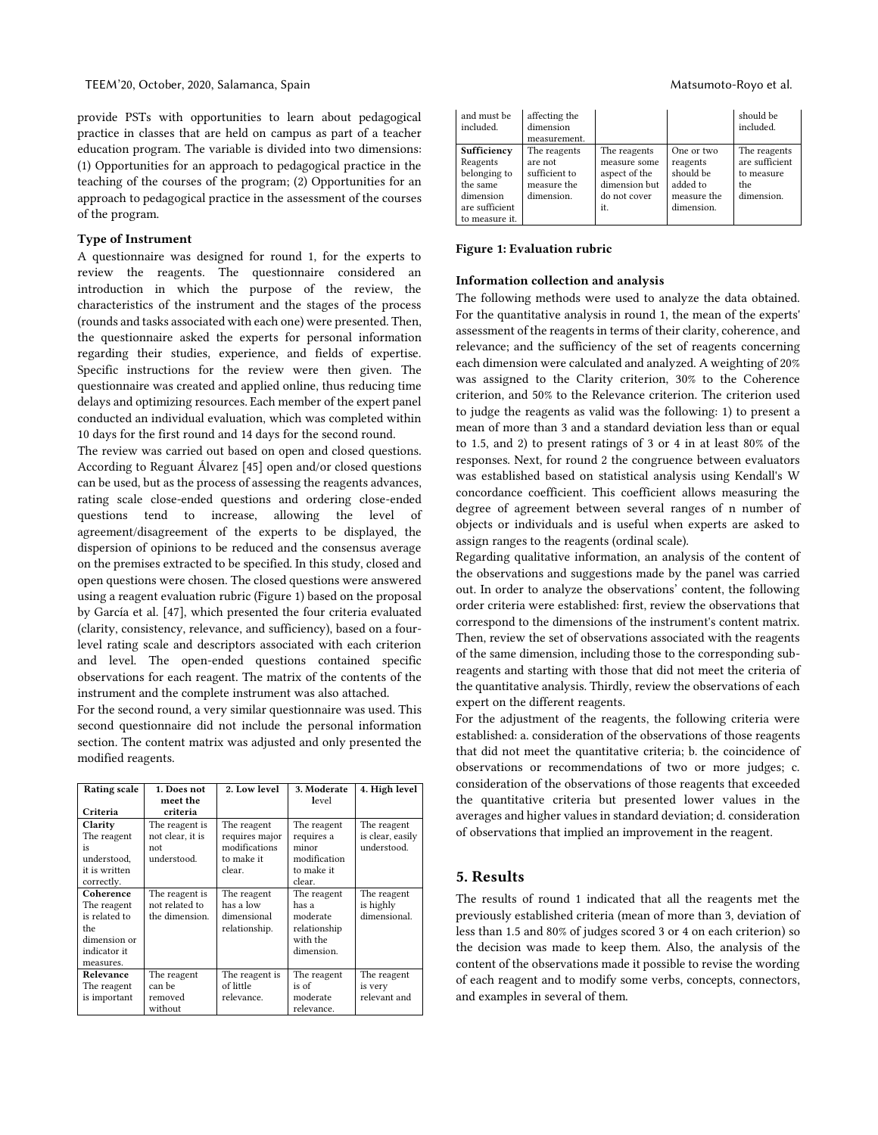provide PSTs with opportunities to learn about pedagogical practice in classes that are held on campus as part of a teacher education program. The variable is divided into two dimensions: (1) Opportunities for an approach to pedagogical practice in the teaching of the courses of the program; (2) Opportunities for an approach to pedagogical practice in the assessment of the courses of the program.

## Type of Instrument

A questionnaire was designed for round 1, for the experts to review the reagents. The questionnaire considered an introduction in which the purpose of the review, the characteristics of the instrument and the stages of the process (rounds and tasks associated with each one) were presented. Then, the questionnaire asked the experts for personal information regarding their studies, experience, and fields of expertise. Specific instructions for the review were then given. The questionnaire was created and applied online, thus reducing time delays and optimizing resources. Each member of the expert panel conducted an individual evaluation, which was completed within 10 days for the first round and 14 days for the second round.

The review was carried out based on open and closed questions. According to Reguant Álvarez [45] open and/or closed questions can be used, but as the process of assessing the reagents advances, rating scale close-ended questions and ordering close-ended questions tend to increase, allowing the level of agreement/disagreement of the experts to be displayed, the dispersion of opinions to be reduced and the consensus average on the premises extracted to be specified. In this study, closed and open questions were chosen. The closed questions were answered using a reagent evaluation rubric (Figure 1) based on the proposal by García et al. [47], which presented the four criteria evaluated (clarity, consistency, relevance, and sufficiency), based on a fourlevel rating scale and descriptors associated with each criterion and level. The open-ended questions contained specific observations for each reagent. The matrix of the contents of the instrument and the complete instrument was also attached.

For the second round, a very similar questionnaire was used. This second questionnaire did not include the personal information section. The content matrix was adjusted and only presented the modified reagents.

| <b>Rating scale</b>                                                                           | 1. Does not                                              | 2. Low level                                                           | 3. Moderate                                                                | 4. High level                                  |
|-----------------------------------------------------------------------------------------------|----------------------------------------------------------|------------------------------------------------------------------------|----------------------------------------------------------------------------|------------------------------------------------|
|                                                                                               | meet the                                                 |                                                                        | level                                                                      |                                                |
| Criteria                                                                                      | criteria                                                 |                                                                        |                                                                            |                                                |
| Clarity<br>The reagent<br>is<br>understood.<br>it is written                                  | The reagent is<br>not clear, it is<br>not<br>understood. | The reagent<br>requires major<br>modifications<br>to make it<br>clear. | The reagent<br>requires a<br>minor<br>modification<br>to make it           | The reagent<br>is clear, easily<br>understood. |
| correctly.                                                                                    |                                                          |                                                                        | clear.                                                                     |                                                |
| Coherence<br>The reagent<br>is related to<br>the<br>dimension or<br>indicator it<br>measures. | The reagent is<br>not related to<br>the dimension.       | The reagent<br>has a low<br>dimensional<br>relationship.               | The reagent<br>has a<br>moderate<br>relationship<br>with the<br>dimension. | The reagent<br>is highly<br>dimensional.       |
| Relevance<br>The reagent<br>is important                                                      | The reagent<br>can be<br>removed<br>without              | The reagent is<br>of little<br>relevance.                              | The reagent<br>is of<br>moderate<br>relevance.                             | The reagent<br>is very<br>relevant and         |

| and must be<br>included.                                                                             | affecting the<br>dimension<br>measurement.                            |                                                                                       |                                                                              | should be<br>included.                                            |
|------------------------------------------------------------------------------------------------------|-----------------------------------------------------------------------|---------------------------------------------------------------------------------------|------------------------------------------------------------------------------|-------------------------------------------------------------------|
| Sufficiency<br>Reagents<br>belonging to<br>the same<br>dimension<br>are sufficient<br>to measure it. | The reagents<br>are not<br>sufficient to<br>measure the<br>dimension. | The reagents<br>measure some<br>aspect of the<br>dimension but<br>do not cover<br>it. | One or two<br>reagents<br>should be<br>added to<br>measure the<br>dimension. | The reagents<br>are sufficient<br>to measure<br>the<br>dimension. |

#### Figure 1: Evaluation rubric

#### Information collection and analysis

The following methods were used to analyze the data obtained. For the quantitative analysis in round 1, the mean of the experts' assessment of the reagents in terms of their clarity, coherence, and relevance; and the sufficiency of the set of reagents concerning each dimension were calculated and analyzed. A weighting of 20% was assigned to the Clarity criterion, 30% to the Coherence criterion, and 50% to the Relevance criterion. The criterion used to judge the reagents as valid was the following: 1) to present a mean of more than 3 and a standard deviation less than or equal to 1.5, and 2) to present ratings of 3 or 4 in at least 80% of the responses. Next, for round 2 the congruence between evaluators was established based on statistical analysis using Kendall's W concordance coefficient. This coefficient allows measuring the degree of agreement between several ranges of n number of objects or individuals and is useful when experts are asked to assign ranges to the reagents (ordinal scale).

Regarding qualitative information, an analysis of the content of the observations and suggestions made by the panel was carried out. In order to analyze the observations' content, the following order criteria were established: first, review the observations that correspond to the dimensions of the instrument's content matrix. Then, review the set of observations associated with the reagents of the same dimension, including those to the corresponding subreagents and starting with those that did not meet the criteria of the quantitative analysis. Thirdly, review the observations of each expert on the different reagents.

For the adjustment of the reagents, the following criteria were established: a. consideration of the observations of those reagents that did not meet the quantitative criteria; b. the coincidence of observations or recommendations of two or more judges; c. consideration of the observations of those reagents that exceeded the quantitative criteria but presented lower values in the averages and higher values in standard deviation; d. consideration of observations that implied an improvement in the reagent.

#### 5. Results

The results of round 1 indicated that all the reagents met the previously established criteria (mean of more than 3, deviation of less than 1.5 and 80% of judges scored 3 or 4 on each criterion) so the decision was made to keep them. Also, the analysis of the content of the observations made it possible to revise the wording of each reagent and to modify some verbs, concepts, connectors, and examples in several of them.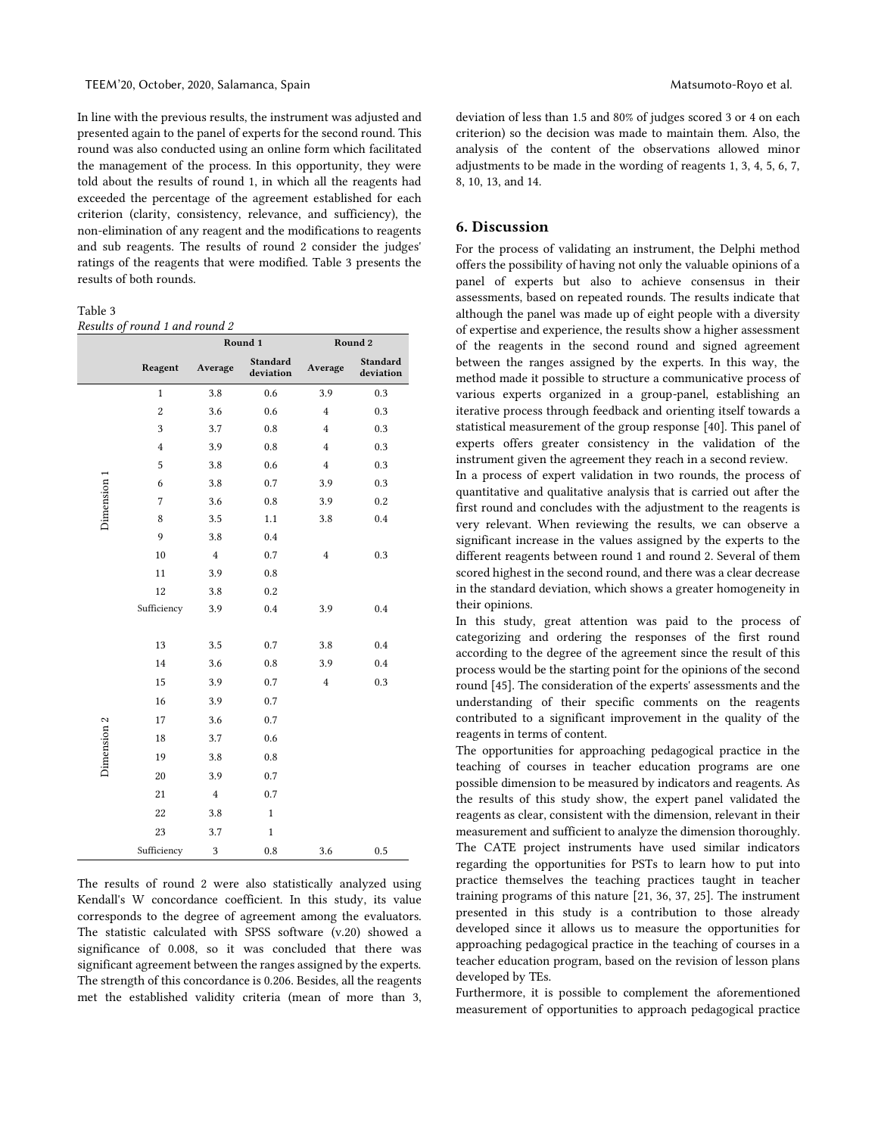In line with the previous results, the instrument was adjusted and presented again to the panel of experts for the second round. This round was also conducted using an online form which facilitated the management of the process. In this opportunity, they were told about the results of round 1, in which all the reagents had exceeded the percentage of the agreement established for each criterion (clarity, consistency, relevance, and sufficiency), the non-elimination of any reagent and the modifications to reagents and sub reagents. The results of round 2 consider the judges' ratings of the reagents that were modified. Table 3 presents the results of both rounds.

Table 3

*Results of round 1 and round 2*

|             |                | Round 1        |                       | Round 2        |                              |
|-------------|----------------|----------------|-----------------------|----------------|------------------------------|
|             | Reagent        | Average        | Standard<br>deviation | Average        | <b>Standard</b><br>deviation |
|             | $\mathbf{1}$   | 3.8            | 0.6                   | 3.9            | 0.3                          |
|             | $\overline{c}$ | 3.6            | 0.6                   | $\overline{4}$ | 0.3                          |
|             | 3              | 3.7            | 0.8                   | $\overline{4}$ | 0.3                          |
|             | $\overline{4}$ | 3.9            | 0.8                   | $\overline{4}$ | 0.3                          |
|             | 5              | 3.8            | 0.6                   | $\overline{4}$ | 0.3                          |
|             | 6              | 3.8            | 0.7                   | 3.9            | 0.3                          |
| Dimension 1 | $\overline{7}$ | 3.6            | 0.8                   | 3.9            | 0.2                          |
|             | $\,$ 8 $\,$    | 3.5            | 1.1                   | 3.8            | 0.4                          |
|             | 9              | 3.8            | 0.4                   |                |                              |
|             | 10             | $\overline{4}$ | 0.7                   | $\overline{4}$ | 0.3                          |
|             | 11             | 3.9            | 0.8                   |                |                              |
|             | 12             | 3.8            | 0.2                   |                |                              |
|             | Sufficiency    | 3.9            | 0.4                   | 3.9            | 0.4                          |
|             | 13             | 3.5            | 0.7                   | 3.8            | 0.4                          |
|             | 14             | 3.6            | 0.8                   | 3.9            | 0.4                          |
|             | 15             | 3.9            | 0.7                   | $\overline{4}$ | 0.3                          |
|             | 16             | 3.9            | 0.7                   |                |                              |
|             | 17             | 3.6            | 0.7                   |                |                              |
|             | 18             | 3.7            | 0.6                   |                |                              |
| Dimension 2 | 19             | 3.8            | 0.8                   |                |                              |
|             | 20             | 3.9            | 0.7                   |                |                              |
|             | 21             | $\bf{4}$       | 0.7                   |                |                              |
|             | $22\,$         | 3.8            | $\mathbf{1}$          |                |                              |
|             | 23             | 3.7            | $\mathbf 1$           |                |                              |
|             | Sufficiency    | 3              | 0.8                   | 3.6            | 0.5                          |

The results of round 2 were also statistically analyzed using Kendall's W concordance coefficient. In this study, its value corresponds to the degree of agreement among the evaluators. The statistic calculated with SPSS software (v.20) showed a significance of 0.008, so it was concluded that there was significant agreement between the ranges assigned by the experts. The strength of this concordance is 0.206. Besides, all the reagents met the established validity criteria (mean of more than 3, deviation of less than 1.5 and 80% of judges scored 3 or 4 on each criterion) so the decision was made to maintain them. Also, the analysis of the content of the observations allowed minor adjustments to be made in the wording of reagents 1, 3, 4, 5, 6, 7, 8, 10, 13, and 14.

## 6. Discussion

For the process of validating an instrument, the Delphi method offers the possibility of having not only the valuable opinions of a panel of experts but also to achieve consensus in their assessments, based on repeated rounds. The results indicate that although the panel was made up of eight people with a diversity of expertise and experience, the results show a higher assessment of the reagents in the second round and signed agreement between the ranges assigned by the experts. In this way, the method made it possible to structure a communicative process of various experts organized in a group-panel, establishing an iterative process through feedback and orienting itself towards a statistical measurement of the group response [40]. This panel of experts offers greater consistency in the validation of the instrument given the agreement they reach in a second review.

In a process of expert validation in two rounds, the process of quantitative and qualitative analysis that is carried out after the first round and concludes with the adjustment to the reagents is very relevant. When reviewing the results, we can observe a significant increase in the values assigned by the experts to the different reagents between round 1 and round 2. Several of them scored highest in the second round, and there was a clear decrease in the standard deviation, which shows a greater homogeneity in their opinions.

In this study, great attention was paid to the process of categorizing and ordering the responses of the first round according to the degree of the agreement since the result of this process would be the starting point for the opinions of the second round [45]. The consideration of the experts' assessments and the understanding of their specific comments on the reagents contributed to a significant improvement in the quality of the reagents in terms of content.

The opportunities for approaching pedagogical practice in the teaching of courses in teacher education programs are one possible dimension to be measured by indicators and reagents. As the results of this study show, the expert panel validated the reagents as clear, consistent with the dimension, relevant in their measurement and sufficient to analyze the dimension thoroughly. The CATE project instruments have used similar indicators regarding the opportunities for PSTs to learn how to put into practice themselves the teaching practices taught in teacher training programs of this nature [21, 36, 37, 25]. The instrument presented in this study is a contribution to those already developed since it allows us to measure the opportunities for approaching pedagogical practice in the teaching of courses in a teacher education program, based on the revision of lesson plans developed by TEs.

Furthermore, it is possible to complement the aforementioned measurement of opportunities to approach pedagogical practice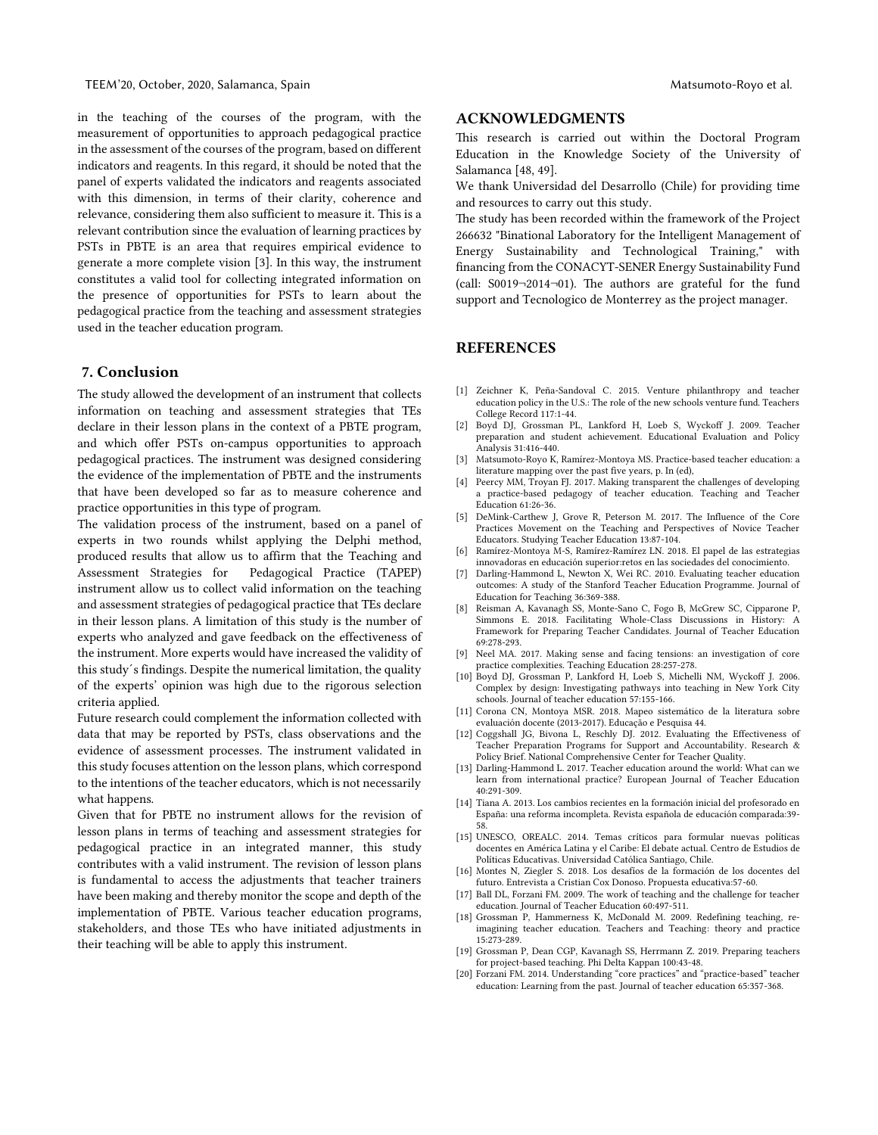in the teaching of the courses of the program, with the measurement of opportunities to approach pedagogical practice in the assessment of the courses of the program, based on different indicators and reagents. In this regard, it should be noted that the panel of experts validated the indicators and reagents associated with this dimension, in terms of their clarity, coherence and relevance, considering them also sufficient to measure it. This is a relevant contribution since the evaluation of learning practices by PSTs in PBTE is an area that requires empirical evidence to generate a more complete vision [3]. In this way, the instrument constitutes a valid tool for collecting integrated information on the presence of opportunities for PSTs to learn about the pedagogical practice from the teaching and assessment strategies used in the teacher education program.

#### 7. Conclusion

The study allowed the development of an instrument that collects information on teaching and assessment strategies that TEs declare in their lesson plans in the context of a PBTE program, and which offer PSTs on-campus opportunities to approach pedagogical practices. The instrument was designed considering the evidence of the implementation of PBTE and the instruments that have been developed so far as to measure coherence and practice opportunities in this type of program.

The validation process of the instrument, based on a panel of experts in two rounds whilst applying the Delphi method, produced results that allow us to affirm that the Teaching and Assessment Strategies for Pedagogical Practice (TAPEP) instrument allow us to collect valid information on the teaching and assessment strategies of pedagogical practice that TEs declare in their lesson plans. A limitation of this study is the number of experts who analyzed and gave feedback on the effectiveness of the instrument. More experts would have increased the validity of this study´s findings. Despite the numerical limitation, the quality of the experts' opinion was high due to the rigorous selection criteria applied.

Future research could complement the information collected with data that may be reported by PSTs, class observations and the evidence of assessment processes. The instrument validated in this study focuses attention on the lesson plans, which correspond to the intentions of the teacher educators, which is not necessarily what happens.

Given that for PBTE no instrument allows for the revision of lesson plans in terms of teaching and assessment strategies for pedagogical practice in an integrated manner, this study contributes with a valid instrument. The revision of lesson plans is fundamental to access the adjustments that teacher trainers have been making and thereby monitor the scope and depth of the implementation of PBTE. Various teacher education programs, stakeholders, and those TEs who have initiated adjustments in their teaching will be able to apply this instrument.

## ACKNOWLEDGMENTS

This research is carried out within the Doctoral Program Education in the Knowledge Society of the University of Salamanca [48, 49].

We thank Universidad del Desarrollo (Chile) for providing time and resources to carry out this study.

The study has been recorded within the framework of the Project 266632 "Binational Laboratory for the Intelligent Management of Energy Sustainability and Technological Training," with financing from the CONACYT-SENER Energy Sustainability Fund (call: S0019¬2014¬01). The authors are grateful for the fund support and Tecnologico de Monterrey as the project manager.

## REFERENCES

- [1] Zeichner K, Peña-Sandoval C. 2015. Venture philanthropy and teacher education policy in the U.S.: The role of the new schools venture fund. Teachers College Record 117:1-44.
- [2] Boyd DJ, Grossman PL, Lankford H, Loeb S, Wyckoff J. 2009. Teacher preparation and student achievement. Educational Evaluation and Policy Analysis 31:416-440.
- [3] Matsumoto-Royo K, Ramírez-Montoya MS. Practice-based teacher education: a literature mapping over the past five years, p. In (ed),
- [4] Peercy MM, Troyan FJ. 2017. Making transparent the challenges of developing a practice-based pedagogy of teacher education. Teaching and Teacher Education 61:26-36.
- [5] DeMink-Carthew J, Grove R, Peterson M. 2017. The Influence of the Core Practices Movement on the Teaching and Perspectives of Novice Teacher Educators. Studying Teacher Education 13:87-104.
- [6] Ramírez-Montoya M-S, Ramírez-Ramírez LN. 2018. El papel de las estrategias innovadoras en educación superior:retos en las sociedades del conocimiento.
- [7] Darling‐Hammond L, Newton X, Wei RC. 2010. Evaluating teacher education outcomes: A study of the Stanford Teacher Education Programme. Journal of Education for Teaching 36:369-388.
- [8] Reisman A, Kavanagh SS, Monte-Sano C, Fogo B, McGrew SC, Cipparone P, Simmons E. 2018. Facilitating Whole-Class Discussions in History: A Framework for Preparing Teacher Candidates. Journal of Teacher Education 69:278-293.
- [9] Neel MA. 2017. Making sense and facing tensions: an investigation of core practice complexities. Teaching Education 28:257-278.
- [10] Boyd DJ, Grossman P, Lankford H, Loeb S, Michelli NM, Wyckoff J. 2006. Complex by design: Investigating pathways into teaching in New York City schools. Journal of teacher education 57:155-166.
- [11] Corona CN, Montoya MSR. 2018. Mapeo sistemático de la literatura sobre evaluación docente (2013-2017). Educação e Pesquisa 44.
- [12] Coggshall JG, Bivona L, Reschly DJ. 2012. Evaluating the Effectiveness of Teacher Preparation Programs for Support and Accountability. Research & Policy Brief. National Comprehensive Center for Teacher Quality.
- [13] Darling-Hammond L. 2017. Teacher education around the world: What can we learn from international practice? European Journal of Teacher Education 40:291-309.
- [14] Tiana A. 2013. Los cambios recientes en la formación inicial del profesorado en España: una reforma incompleta. Revista española de educación comparada:39- 58.
- [15] UNESCO, OREALC. 2014. Temas críticos para formular nuevas políticas docentes en América Latina y el Caribe: El debate actual. Centro de Estudios de Políticas Educativas. Universidad Católica Santiago, Chile.
- [16] Montes N, Ziegler S. 2018. Los desafíos de la formación de los docentes del futuro. Entrevista a Cristian Cox Donoso. Propuesta educativa:57-60.
- [17] Ball DL, Forzani FM. 2009. The work of teaching and the challenge for teacher education. Journal of Teacher Education 60:497-511.
- [18] Grossman P, Hammerness K, McDonald M. 2009. Redefining teaching, reimagining teacher education. Teachers and Teaching: theory and practice 15:273-289.
- [19] Grossman P, Dean CGP, Kavanagh SS, Herrmann Z. 2019. Preparing teachers for project-based teaching. Phi Delta Kappan 100:43-48.
- [20] Forzani FM. 2014. Understanding "core practices" and "practice-based" teacher education: Learning from the past. Journal of teacher education 65:357-368.